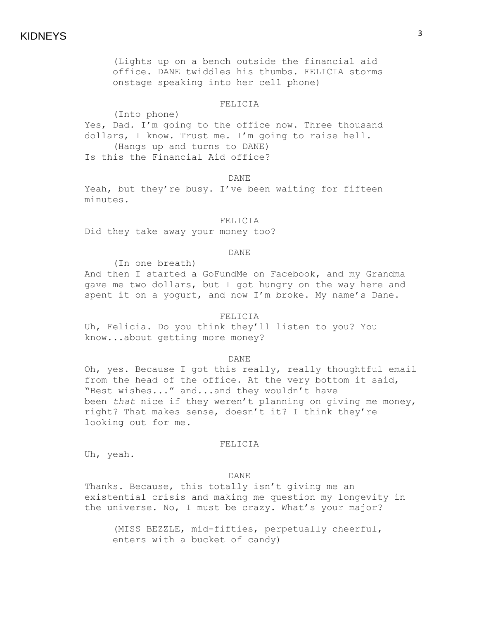# KIDNEYS

(Lights up on a bench outside the financial aid office. DANE twiddles his thumbs. FELICIA storms onstage speaking into her cell phone)

## FELICIA

(Into phone) Yes, Dad. I'm going to the office now. Three thousand dollars, I know. Trust me. I'm going to raise hell. (Hangs up and turns to DANE) Is this the Financial Aid office?

DANE

Yeah, but they're busy. I've been waiting for fifteen minutes.

## FELICIA

Did they take away your money too?

## DANE

(In one breath) And then I started a GoFundMe on Facebook, and my Grandma gave me two dollars, but I got hungry on the way here and spent it on a yogurt, and now I'm broke. My name's Dane.

## FELICIA

Uh, Felicia. Do you think they'll listen to you? You know...about getting more money?

#### DANE

Oh, yes. Because I got this really, really thoughtful email from the head of the office. At the very bottom it said, "Best wishes..." and...and they wouldn't have been *that* nice if they weren't planning on giving me money, right? That makes sense, doesn't it? I think they're looking out for me.

## FELICIA

Uh, yeah.

### DANE

Thanks. Because, this totally isn't giving me an existential crisis and making me question my longevity in the universe. No, I must be crazy. What's your major?

(MISS BEZZLE, mid-fifties, perpetually cheerful, enters with a bucket of candy)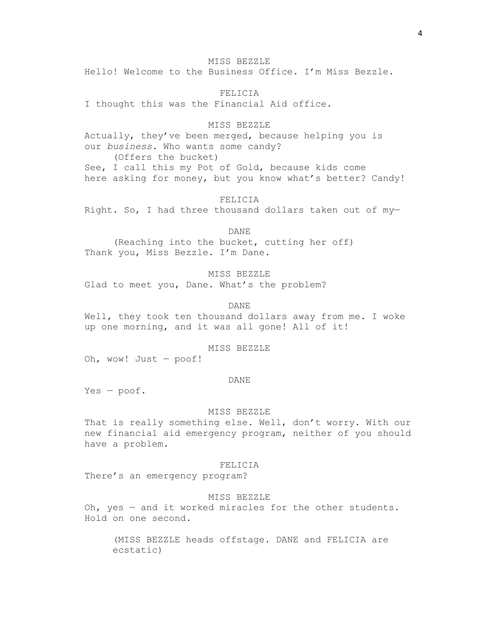MISS BEZZLE

Hello! Welcome to the Business Office. I'm Miss Bezzle.

FELICIA I thought this was the Financial Aid office.

MISS BEZZLE Actually, they've been merged, because helping you is our *business*. Who wants some candy? (Offers the bucket) See, I call this my Pot of Gold, because kids come here asking for money, but you know what's better? Candy!

FELICIA Right. So, I had three thousand dollars taken out of my—

DANE

(Reaching into the bucket, cutting her off) Thank you, Miss Bezzle. I'm Dane.

MISS BEZZLE Glad to meet you, Dane. What's the problem?

DANE Well, they took ten thousand dollars away from me. I woke up one morning, and it was all gone! All of it!

MISS BEZZLE

Oh, wow! Just — poof!

### DANE

Yes — poof.

#### MISS BEZZLE

That is really something else. Well, don't worry. With our new financial aid emergency program, neither of you should have a problem.

## FELICIA

There's an emergency program?

## MISS BEZZLE

Oh, yes — and it worked miracles for the other students. Hold on one second.

(MISS BEZZLE heads offstage. DANE and FELICIA are ecstatic)